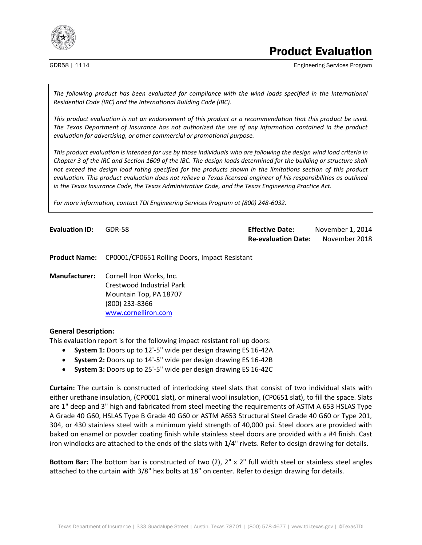

# Product Evaluation

GDR58 | 1114 **Engineering Services Program** Engineering Services Program

*The following product has been evaluated for compliance with the wind loads specified in the International Residential Code (IRC) and the International Building Code (IBC).*

*This product evaluation is not an endorsement of this product or a recommendation that this product be used. The Texas Department of Insurance has not authorized the use of any information contained in the product evaluation for advertising, or other commercial or promotional purpose.*

*This product evaluation is intended for use by those individuals who are following the design wind load criteria in Chapter 3 of the IRC and Section 1609 of the IBC. The design loads determined for the building or structure shall not exceed the design load rating specified for the products shown in the limitations section of this product evaluation. This product evaluation does not relieve a Texas licensed engineer of his responsibilities as outlined in the Texas Insurance Code, the Texas Administrative Code, and the Texas Engineering Practice Act.*

*For more information, contact TDI Engineering Services Program at (800) 248-6032.*

**Evaluation ID:** GDR-58 **Effective Date:** November 1, 2014 **Re-evaluation Date:** November 2018

**Product Name:** CP0001/CP0651 Rolling Doors, Impact Resistant

**Manufacturer:** Cornell Iron Works, Inc. Crestwood Industrial Park Mountain Top, PA 18707 (800) 233-8366 [www.cornelliron.com](http://www.cornelliron.com/)

# **General Description:**

This evaluation report is for the following impact resistant roll up doors:

- **System 1:** Doors up to 12'-5" wide per design drawing ES 16-42A
- **System 2:** Doors up to 14'-5" wide per design drawing ES 16-42B
- **System 3:** Doors up to 25'-5" wide per design drawing ES 16-42C

**Curtain:** The curtain is constructed of interlocking steel slats that consist of two individual slats with either urethane insulation, (CP0001 slat), or mineral wool insulation, (CP0651 slat), to fill the space. Slats are 1" deep and 3" high and fabricated from steel meeting the requirements of ASTM A 653 HSLAS Type A Grade 40 G60, HSLAS Type B Grade 40 G60 or ASTM A653 Structural Steel Grade 40 G60 or Type 201, 304, or 430 stainless steel with a minimum yield strength of 40,000 psi. Steel doors are provided with baked on enamel or powder coating finish while stainless steel doors are provided with a #4 finish. Cast iron windlocks are attached to the ends of the slats with 1/4" rivets. Refer to design drawing for details.

**Bottom Bar:** The bottom bar is constructed of two (2), 2" x 2" full width steel or stainless steel angles attached to the curtain with 3/8" hex bolts at 18" on center. Refer to design drawing for details.